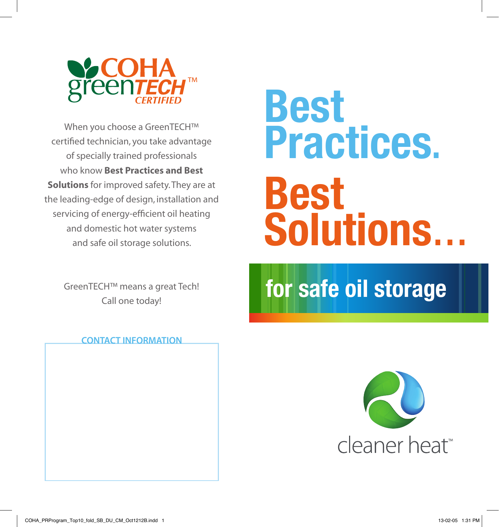

When you choose a GreenTECH™ certified technician, you take advantage of specially trained professionals who know Best Practices and Best Solutions for improved safety. They are at the leading-edge of design, installation and servicing of energy-efficient oil heating and domestic hot water systems and safe oil storage solutions.

> GreenTECH™ means a great Tech! Call one today!

## **Best Practices. Best Solutions… for safe oil storage**